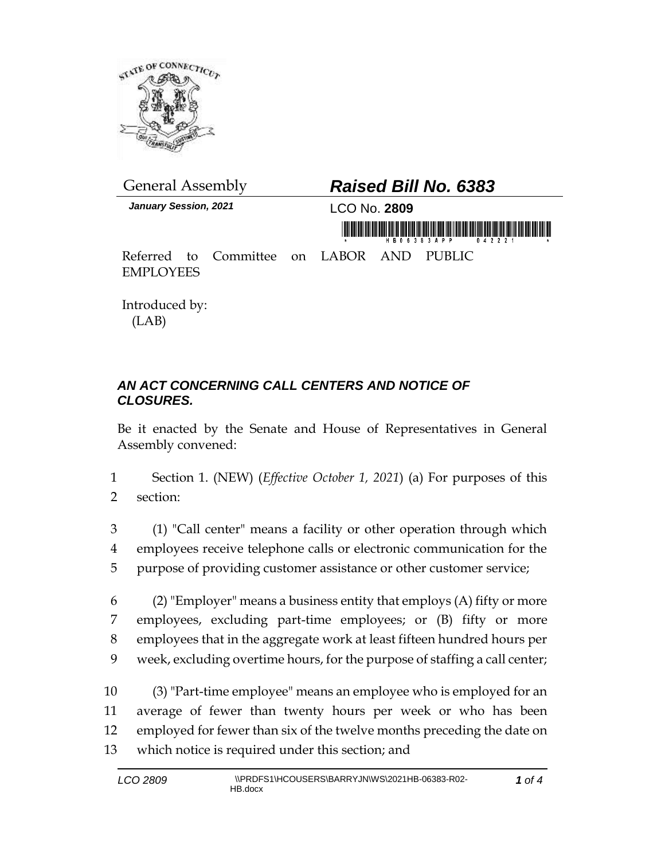

*January Session, 2021* LCO No. **2809**

## General Assembly *Raised Bill No. 6383*

<u>minë Afrikëtitëtit të mundërisëtit mumuri</u>

Referred to Committee on LABOR AND PUBLIC EMPLOYEES

Introduced by: (LAB)

## *AN ACT CONCERNING CALL CENTERS AND NOTICE OF CLOSURES.*

Be it enacted by the Senate and House of Representatives in General Assembly convened:

1 Section 1. (NEW) (*Effective October 1, 2021*) (a) For purposes of this 2 section:

3 (1) "Call center" means a facility or other operation through which 4 employees receive telephone calls or electronic communication for the 5 purpose of providing customer assistance or other customer service;

6 (2) "Employer" means a business entity that employs  $(A)$  fifty or more employees, excluding part-time employees; or (B) fifty or more employees that in the aggregate work at least fifteen hundred hours per week, excluding overtime hours, for the purpose of staffing a call center;

 (3) "Part-time employee" means an employee who is employed for an average of fewer than twenty hours per week or who has been employed for fewer than six of the twelve months preceding the date on which notice is required under this section; and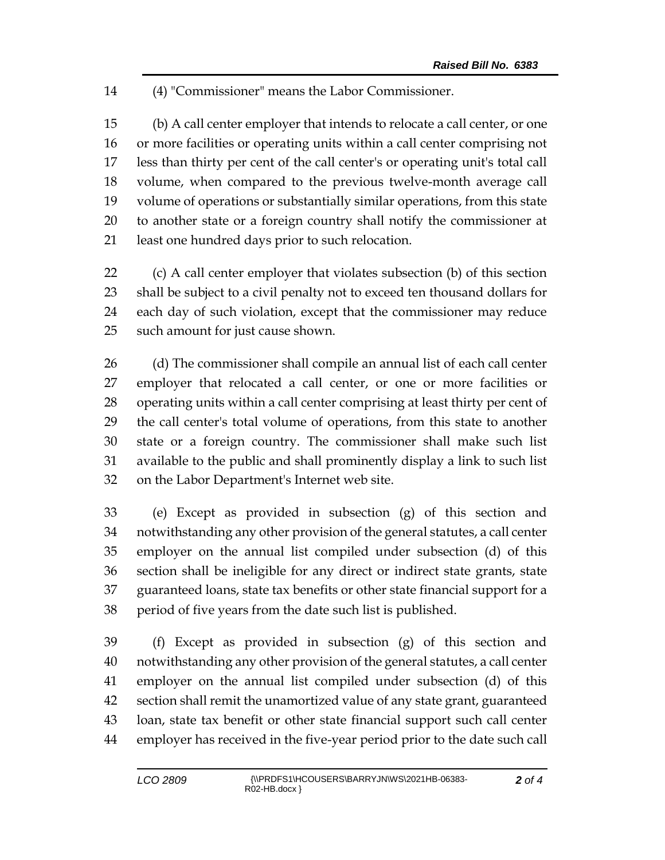(4) "Commissioner" means the Labor Commissioner.

 (b) A call center employer that intends to relocate a call center, or one or more facilities or operating units within a call center comprising not less than thirty per cent of the call center's or operating unit's total call volume, when compared to the previous twelve-month average call volume of operations or substantially similar operations, from this state to another state or a foreign country shall notify the commissioner at least one hundred days prior to such relocation.

 (c) A call center employer that violates subsection (b) of this section shall be subject to a civil penalty not to exceed ten thousand dollars for each day of such violation, except that the commissioner may reduce such amount for just cause shown.

 (d) The commissioner shall compile an annual list of each call center employer that relocated a call center, or one or more facilities or operating units within a call center comprising at least thirty per cent of the call center's total volume of operations, from this state to another state or a foreign country. The commissioner shall make such list available to the public and shall prominently display a link to such list on the Labor Department's Internet web site.

 (e) Except as provided in subsection (g) of this section and notwithstanding any other provision of the general statutes, a call center employer on the annual list compiled under subsection (d) of this section shall be ineligible for any direct or indirect state grants, state guaranteed loans, state tax benefits or other state financial support for a period of five years from the date such list is published.

 (f) Except as provided in subsection (g) of this section and notwithstanding any other provision of the general statutes, a call center employer on the annual list compiled under subsection (d) of this section shall remit the unamortized value of any state grant, guaranteed loan, state tax benefit or other state financial support such call center employer has received in the five-year period prior to the date such call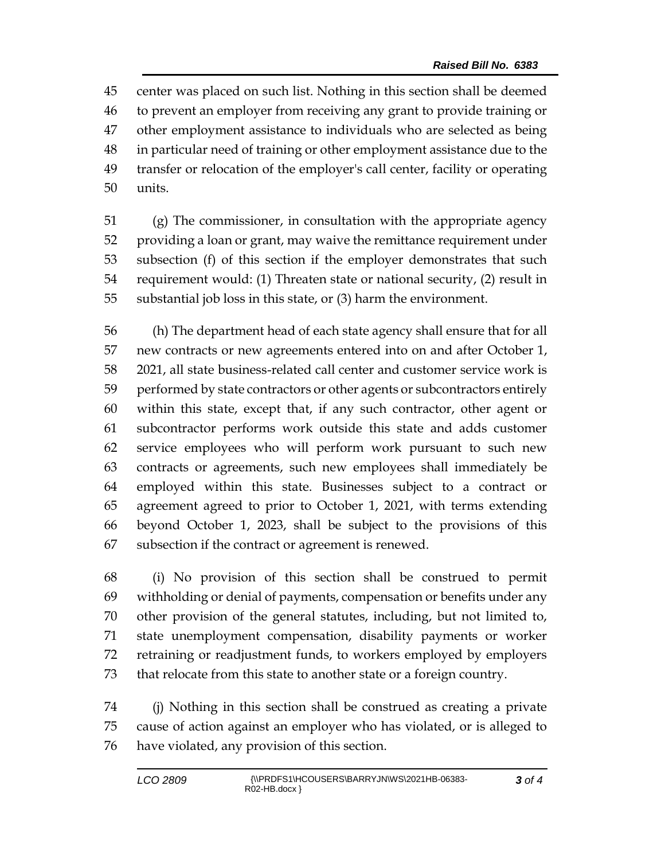center was placed on such list. Nothing in this section shall be deemed to prevent an employer from receiving any grant to provide training or other employment assistance to individuals who are selected as being in particular need of training or other employment assistance due to the transfer or relocation of the employer's call center, facility or operating units.

 (g) The commissioner, in consultation with the appropriate agency providing a loan or grant, may waive the remittance requirement under subsection (f) of this section if the employer demonstrates that such requirement would: (1) Threaten state or national security, (2) result in substantial job loss in this state, or (3) harm the environment.

 (h) The department head of each state agency shall ensure that for all new contracts or new agreements entered into on and after October 1, 2021, all state business-related call center and customer service work is performed by state contractors or other agents or subcontractors entirely within this state, except that, if any such contractor, other agent or subcontractor performs work outside this state and adds customer service employees who will perform work pursuant to such new contracts or agreements, such new employees shall immediately be employed within this state. Businesses subject to a contract or agreement agreed to prior to October 1, 2021, with terms extending beyond October 1, 2023, shall be subject to the provisions of this subsection if the contract or agreement is renewed.

 (i) No provision of this section shall be construed to permit withholding or denial of payments, compensation or benefits under any other provision of the general statutes, including, but not limited to, state unemployment compensation, disability payments or worker retraining or readjustment funds, to workers employed by employers that relocate from this state to another state or a foreign country.

 (j) Nothing in this section shall be construed as creating a private cause of action against an employer who has violated, or is alleged to have violated, any provision of this section.